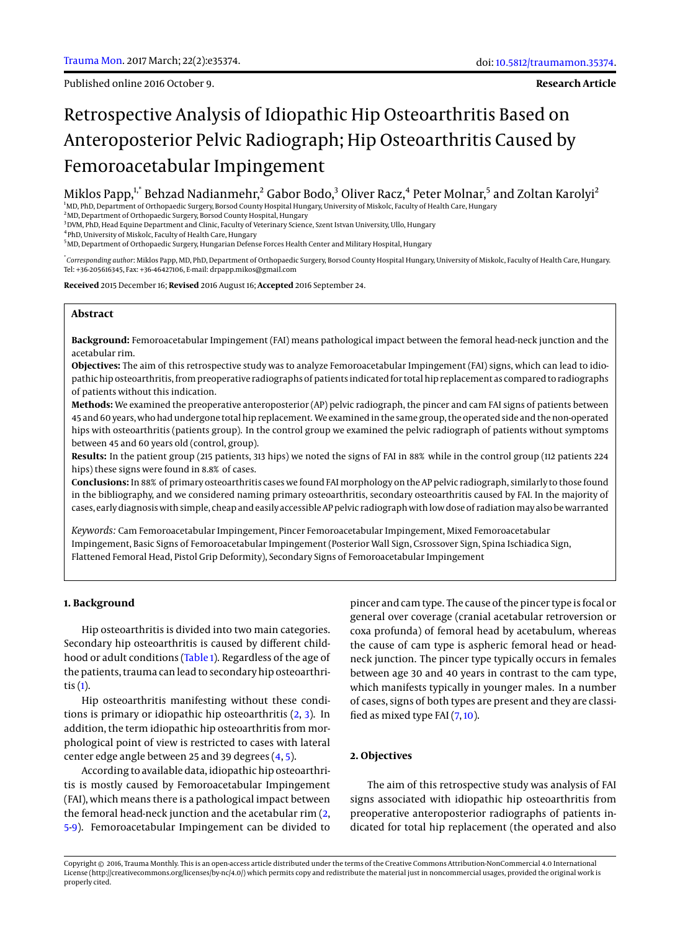Published online 2016 October 9.

# Retrospective Analysis of Idiopathic Hip Osteoarthritis Based on Anteroposterior Pelvic Radiograph; Hip Osteoarthritis Caused by Femoroacetabular Impingement

Miklos Papp, $^{\text{1, *}}$  Behzad Nadianmehr, $^{\text{2}}$  Gabor Bodo, $^{\text{3}}$  Oliver Racz, $^{\text{4}}$  Peter Molnar, $^{\text{5}}$  and Zoltan Karolyi $^{\text{2}}$ 

<sup>1</sup>MD, PhD, Department of Orthopaedic Surgery, Borsod County Hospital Hungary, University of Miskolc, Faculty of Health Care, Hungary

<sup>2</sup>MD, Department of Orthopaedic Surgery, Borsod County Hospital, Hungary

<sup>3</sup>DVM, PhD, Head Equine Department and Clinic, Faculty of Veterinary Science, Szent Istvan University, Ullo, Hungary

4 PhD, University of Miskolc, Faculty of Health Care, Hungary

<sup>5</sup>MD, Department of Orthopaedic Surgery, Hungarian Defense Forces Health Center and Military Hospital, Hungary

\* *Corresponding author*: Miklos Papp, MD, PhD, Department of Orthopaedic Surgery, Borsod County Hospital Hungary, University of Miskolc, Faculty of Health Care, Hungary. Tel: +36-205616345, Fax: +36-46427106, E-mail: drpapp.mikos@gmail.com

**Received** 2015 December 16; **Revised** 2016 August 16; **Accepted** 2016 September 24.

# **Abstract**

**Background:** Femoroacetabular Impingement (FAI) means pathological impact between the femoral head-neck junction and the acetabular rim.

**Objectives:** The aim of this retrospective study was to analyze Femoroacetabular Impingement (FAI) signs, which can lead to idiopathic hip osteoarthritis, from preoperative radiographs of patients indicated for total hip replacement as compared to radiographs of patients without this indication.

**Methods:** We examined the preoperative anteroposterior (AP) pelvic radiograph, the pincer and cam FAI signs of patients between 45 and 60 years, who had undergone total hip replacement. We examined in the same group, the operated side and the non-operated hips with osteoarthritis (patients group). In the control group we examined the pelvic radiograph of patients without symptoms between 45 and 60 years old (control, group).

**Results:** In the patient group (215 patients, 313 hips) we noted the signs of FAI in 88% while in the control group (112 patients 224 hips) these signs were found in 8.8% of cases.

**Conclusions:** In 88% of primary osteoarthritis cases we found FAI morphology on the AP pelvic radiograph, similarly to those found in the bibliography, and we considered naming primary osteoarthritis, secondary osteoarthritis caused by FAI. In the majority of cases, early diagnosis with simple, cheap and easily accessible AP pelvic radiograph with low dose of radiationmay also be warranted

*Keywords:* Cam Femoroacetabular Impingement, Pincer Femoroacetabular Impingement, Mixed Femoroacetabular Impingement, Basic Signs of Femoroacetabular Impingement (Posterior Wall Sign, Csrossover Sign, Spina Ischiadica Sign, Flattened Femoral Head, Pistol Grip Deformity), Secondary Signs of Femoroacetabular Impingement

# **1. Background**

Hip osteoarthritis is divided into two main categories. Secondary hip osteoarthritis is caused by different childhood or adult conditions [\(Table 1\)](#page-1-0). Regardless of the age of the patients, trauma can lead to secondary hip osteoarthritis [\(1\)](#page-4-0).

Hip osteoarthritis manifesting without these conditions is primary or idiopathic hip osteoarthritis [\(2,](#page-4-1) [3\)](#page-4-2). In addition, the term idiopathic hip osteoarthritis from morphological point of view is restricted to cases with lateral center edge angle between 25 and 39 degrees [\(4,](#page-4-3) [5\)](#page-4-4).

According to available data, idiopathic hip osteoarthritis is mostly caused by Femoroacetabular Impingement (FAI), which means there is a pathological impact between the femoral head-neck junction and the acetabular rim [\(2,](#page-4-1) [5-](#page-4-4)[9\)](#page-4-5). Femoroacetabular Impingement can be divided to

pincer and cam type. The cause of the pincer type is focal or general over coverage (cranial acetabular retroversion or coxa profunda) of femoral head by acetabulum, whereas the cause of cam type is aspheric femoral head or headneck junction. The pincer type typically occurs in females between age 30 and 40 years in contrast to the cam type, which manifests typically in younger males. In a number of cases, signs of both types are present and they are classified as mixed type FAI [\(7,](#page-4-6) [10\)](#page-4-7).

## **2. Objectives**

The aim of this retrospective study was analysis of FAI signs associated with idiopathic hip osteoarthritis from preoperative anteroposterior radiographs of patients indicated for total hip replacement (the operated and also

Copyright © 2016, Trauma Monthly. This is an open-access article distributed under the terms of the Creative Commons Attribution-NonCommercial 4.0 International License (http://creativecommons.org/licenses/by-nc/4.0/) which permits copy and redistribute the material just in noncommercial usages, provided the original work is properly cited.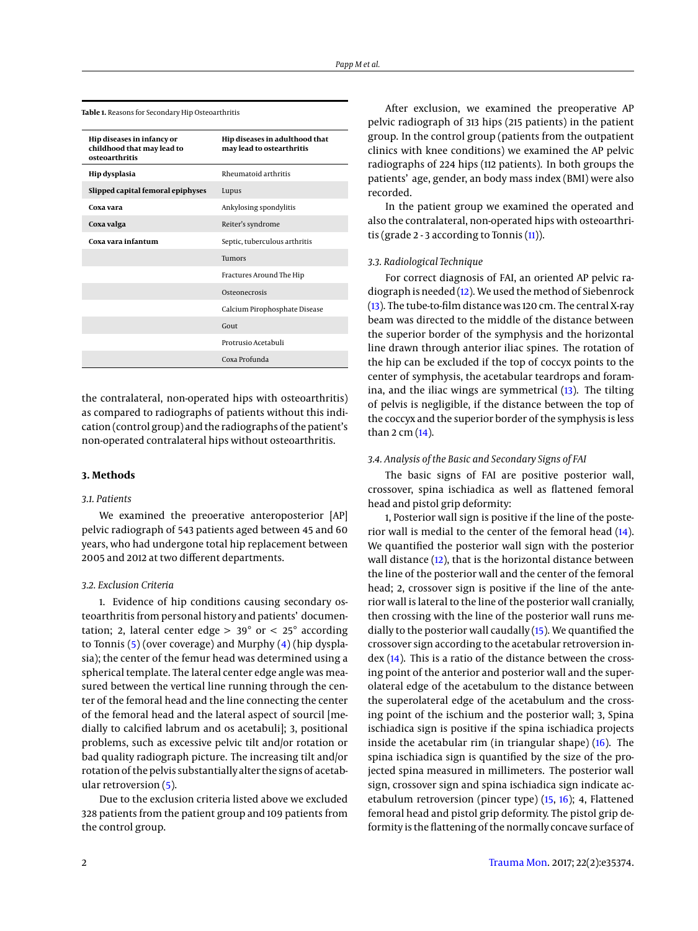| Hip diseases in infancy or<br>childhood that may lead to<br>osteoarthritis | Hip diseases in adulthood that<br>may lead to ostearthritis |  |
|----------------------------------------------------------------------------|-------------------------------------------------------------|--|
| Hip dysplasia                                                              | Rheumatoid arthritis                                        |  |
| Slipped capital femoral epiphyses                                          | Lupus                                                       |  |
| Coxa vara                                                                  | Ankylosing spondylitis                                      |  |
| Coxa valga                                                                 | Reiter's syndrome                                           |  |
| Coxa vara infantum                                                         | Septic, tuberculous arthritis                               |  |
|                                                                            | <b>Tumors</b>                                               |  |
|                                                                            | Fractures Around The Hip                                    |  |
|                                                                            | Osteonecrosis                                               |  |
|                                                                            | Calcium Pirophosphate Disease                               |  |
|                                                                            | Gout                                                        |  |
|                                                                            | Protrusio Acetabuli                                         |  |
|                                                                            | Coxa Profunda                                               |  |

<span id="page-1-0"></span>**Table 1.** Reasons for Secondary Hip Osteoarthritis

the contralateral, non-operated hips with osteoarthritis) as compared to radiographs of patients without this indication (control group) and the radiographs of the patient's non-operated contralateral hips without osteoarthritis.

# **3. Methods**

#### *3.1. Patients*

We examined the preoerative anteroposterior [AP] pelvic radiograph of 543 patients aged between 45 and 60 years, who had undergone total hip replacement between 2005 and 2012 at two different departments.

#### *3.2. Exclusion Criteria*

1. Evidence of hip conditions causing secondary osteoarthritis from personal history and patients' documentation; 2, lateral center edge  $> 39^{\circ}$  or  $< 25^{\circ}$  according to Tonnis [\(5\)](#page-4-4) (over coverage) and Murphy [\(4\)](#page-4-3) (hip dysplasia); the center of the femur head was determined using a spherical template. The lateral center edge angle was measured between the vertical line running through the center of the femoral head and the line connecting the center of the femoral head and the lateral aspect of sourcil [medially to calcified labrum and os acetabuli]; 3, positional problems, such as excessive pelvic tilt and/or rotation or bad quality radiograph picture. The increasing tilt and/or rotation of the pelvis substantially alter the signs of acetabular retroversion [\(5\)](#page-4-4).

Due to the exclusion criteria listed above we excluded 328 patients from the patient group and 109 patients from the control group.

After exclusion, we examined the preoperative AP pelvic radiograph of 313 hips (215 patients) in the patient group. In the control group (patients from the outpatient clinics with knee conditions) we examined the AP pelvic radiographs of 224 hips (112 patients). In both groups the patients' age, gender, an body mass index (BMI) were also recorded.

In the patient group we examined the operated and also the contralateral, non-operated hips with osteoarthritis (grade 2 - 3 according to Tonnis  $(11)$ ).

#### *3.3. Radiological Technique*

For correct diagnosis of FAI, an oriented AP pelvic ra-diograph is needed [\(12\)](#page-4-9). We used the method of Siebenrock [\(13\)](#page-4-10). The tube-to-film distance was 120 cm. The central X-ray beam was directed to the middle of the distance between the superior border of the symphysis and the horizontal line drawn through anterior iliac spines. The rotation of the hip can be excluded if the top of coccyx points to the center of symphysis, the acetabular teardrops and foramina, and the iliac wings are symmetrical [\(13\)](#page-4-10). The tilting of pelvis is negligible, if the distance between the top of the coccyx and the superior border of the symphysis is less than 2 cm [\(14\)](#page-4-11).

## *3.4. Analysis of the Basic and Secondary Signs of FAI*

The basic signs of FAI are positive posterior wall, crossover, spina ischiadica as well as flattened femoral head and pistol grip deformity:

1, Posterior wall sign is positive if the line of the posterior wall is medial to the center of the femoral head [\(14\)](#page-4-11). We quantified the posterior wall sign with the posterior wall distance [\(12\)](#page-4-9), that is the horizontal distance between the line of the posterior wall and the center of the femoral head; 2, crossover sign is positive if the line of the anterior wall is lateral to the line of the posterior wall cranially, then crossing with the line of the posterior wall runs medially to the posterior wall caudally [\(15\)](#page-4-12). We quantified the crossover sign according to the acetabular retroversion index [\(14\)](#page-4-11). This is a ratio of the distance between the crossing point of the anterior and posterior wall and the superolateral edge of the acetabulum to the distance between the superolateral edge of the acetabulum and the crossing point of the ischium and the posterior wall; 3, Spina ischiadica sign is positive if the spina ischiadica projects inside the acetabular rim (in triangular shape) [\(16\)](#page-4-13). The spina ischiadica sign is quantified by the size of the projected spina measured in millimeters. The posterior wall sign, crossover sign and spina ischiadica sign indicate acetabulum retroversion (pincer type) [\(15,](#page-4-12) [16\)](#page-4-13); 4, Flattened femoral head and pistol grip deformity. The pistol grip deformity is the flattening of the normally concave surface of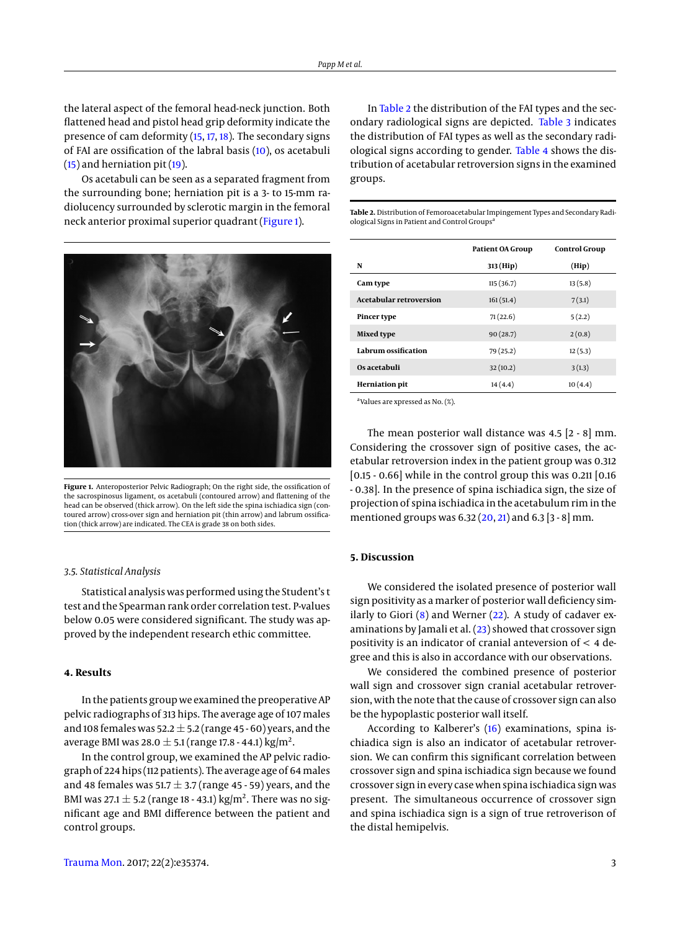the lateral aspect of the femoral head-neck junction. Both flattened head and pistol head grip deformity indicate the presence of cam deformity [\(15,](#page-4-12) [17,](#page-4-14) [18\)](#page-4-15). The secondary signs of FAI are ossification of the labral basis [\(10\)](#page-4-7), os acetabuli [\(15\)](#page-4-12) and herniation pit [\(19\)](#page-4-16).

Os acetabuli can be seen as a separated fragment from the surrounding bone; herniation pit is a 3- to 15-mm radiolucency surrounded by sclerotic margin in the femoral neck anterior proximal superior quadrant [\(Figure 1\)](#page-2-0).

<span id="page-2-0"></span>

**Figure 1.** Anteroposterior Pelvic Radiograph; On the right side, the ossification of the sacrospinosus ligament, os acetabuli (contoured arrow) and flattening of the head can be observed (thick arrow). On the left side the spina ischiadica sign (contoured arrow) cross-over sign and herniation pit (thin arrow) and labrum ossification (thick arrow) are indicated. The CEA is grade 38 on both sides.

## *3.5. Statistical Analysis*

Statistical analysis was performed using the Student's t test and the Spearman rank order correlation test. P-values below 0.05 were considered significant. The study was approved by the independent research ethic committee.

# **4. Results**

In the patients group we examined the preoperative AP pelvic radiographs of 313 hips. The average age of 107 males and 108 females was 52.2  $\pm$  5.2 (range 45 - 60) years, and the average BMI was 28.0  $\pm$  5.1 (range 17.8 - 44.1) kg/m<sup>2</sup>.

In the control group, we examined the AP pelvic radiograph of 224 hips (112 patients). The average age of 64males and 48 females was 51.7  $\pm$  3.7 (range 45 - 59) years, and the BMI was 27.1  $\pm$  5.2 (range 18 - 43.1) kg/m<sup>2</sup>. There was no significant age and BMI difference between the patient and control groups.

In [Table 2](#page-2-1) the distribution of the FAI types and the secondary radiological signs are depicted. [Table 3](#page-3-0) indicates the distribution of FAI types as well as the secondary radiological signs according to gender. [Table 4](#page-3-1) shows the distribution of acetabular retroversion signs in the examined groups.

<span id="page-2-1"></span>**Table 2.** Distribution of Femoroacetabular Impingement Types and Secondary Radiological Signs in Patient and Control Groups<sup>a</sup>

|                                | Patient OA Group | <b>Control Group</b> |  |
|--------------------------------|------------------|----------------------|--|
| N                              | 313 (Hip)        | (Hip)                |  |
| Cam type                       | 115(36.7)        | 13(5.8)              |  |
| <b>Acetabular retroversion</b> | 161(51.4)        | 7(3.1)               |  |
| <b>Pincer type</b>             | 71(22.6)         | 5(2.2)               |  |
| <b>Mixed type</b>              | 90(28.7)         | 2(0.8)               |  |
| Labrum ossification            | 79 (25.2)        | 12(5.3)              |  |
| Os acetabuli                   | 32(10.2)         | 3(1.3)               |  |
| <b>Herniation</b> pit          | 14(4.4)          | 10(4.4)              |  |
|                                |                  |                      |  |

a Values are xpressed as No. (%).

The mean posterior wall distance was 4.5 [2 - 8] mm. Considering the crossover sign of positive cases, the acetabular retroversion index in the patient group was 0.312 [0.15 - 0.66] while in the control group this was 0.211 [0.16 - 0.38]. In the presence of spina ischiadica sign, the size of projection of spina ischiadica in the acetabulum rim in the mentioned groups was  $6.32 (20, 21)$  $6.32 (20, 21)$  $6.32 (20, 21)$  $6.32 (20, 21)$  and  $6.3 [3 - 8]$  mm.

## **5. Discussion**

We considered the isolated presence of posterior wall sign positivity as a marker of posterior wall deficiency similarly to Giori  $(8)$  and Werner  $(22)$ . A study of cadaver examinations by Jamali et al.  $(23)$  showed that crossover sign positivity is an indicator of cranial anteversion of < 4 degree and this is also in accordance with our observations.

We considered the combined presence of posterior wall sign and crossover sign cranial acetabular retroversion, with the note that the cause of crossover sign can also be the hypoplastic posterior wall itself.

According to Kalberer's [\(16\)](#page-4-13) examinations, spina ischiadica sign is also an indicator of acetabular retroversion. We can confirm this significant correlation between crossover sign and spina ischiadica sign because we found crossover sign in every case when spina ischiadica sign was present. The simultaneous occurrence of crossover sign and spina ischiadica sign is a sign of true retroverison of the distal hemipelvis.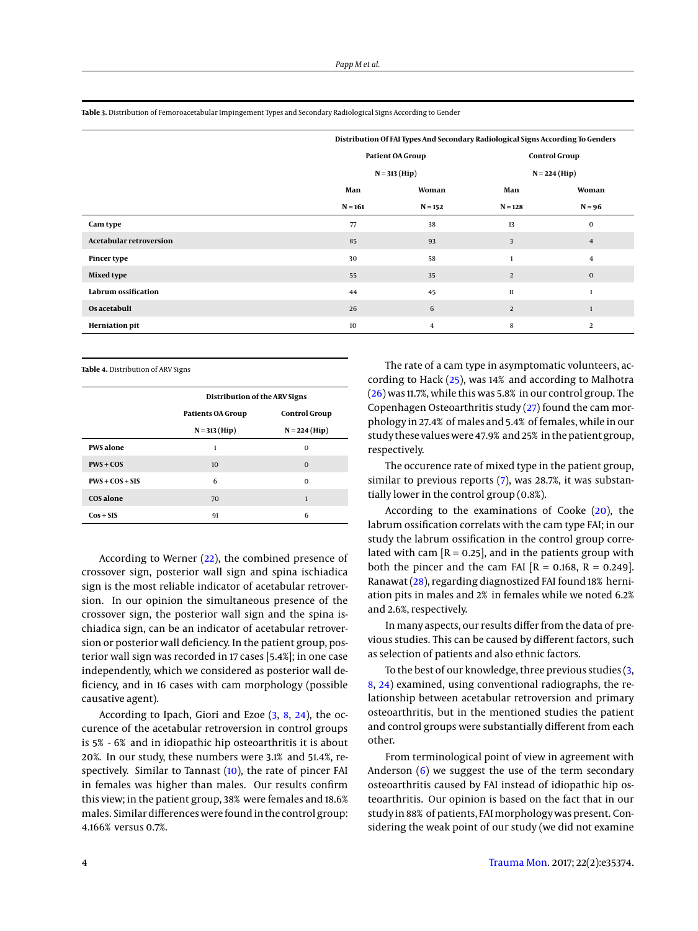<span id="page-3-0"></span>**Table 3.** Distribution of Femoroacetabular Impingement Types and Secondary Radiological Signs According to Gender

|                                | Distribution Of FAI Types And Secondary Radiological Signs According To Genders |                |                                         |                |
|--------------------------------|---------------------------------------------------------------------------------|----------------|-----------------------------------------|----------------|
|                                | Patient OA Group<br>$N = 313 (Hip)$                                             |                | <b>Control Group</b><br>$N = 224$ (Hip) |                |
|                                |                                                                                 |                |                                         |                |
|                                | Man                                                                             | Woman          | Man                                     | Woman          |
|                                | $N = 161$                                                                       | $N = 152$      | $N = 128$                               | $N = 96$       |
| Cam type                       | 77                                                                              | 38             | 13                                      | 0              |
| <b>Acetabular retroversion</b> | 85                                                                              | 93             | 3                                       | $\overline{4}$ |
| <b>Pincer type</b>             | 30                                                                              | 58             | $\mathbf{1}$                            | $\overline{4}$ |
| <b>Mixed type</b>              | 55                                                                              | 35             | $\overline{2}$                          | $\bf{0}$       |
| Labrum ossification            | 44                                                                              | 45             | $11\,$                                  |                |
| Os acetabuli                   | 26                                                                              | 6              | $\overline{2}$                          |                |
| <b>Herniation pit</b>          | 10                                                                              | $\overline{4}$ | 8                                       | 2              |

<span id="page-3-1"></span>**Table 4.** Distribution of ARV Signs

|                   | Distribution of the ARV Signs |                      |  |
|-------------------|-------------------------------|----------------------|--|
|                   | <b>Patients OA Group</b>      | <b>Control Group</b> |  |
|                   | $N = 313 (Hip)$               | $N = 224$ (Hip)      |  |
| <b>PWS</b> alone  | 1                             | $\Omega$             |  |
| $PWS + COS$       | 10 <sup>1</sup>               | $\Omega$             |  |
| $PWS + COS + SIS$ | 6                             | $\Omega$             |  |
| COS alone         | 70                            | 1                    |  |
| $Cos + SIS$       | 91                            | 6                    |  |

According to Werner [\(22\)](#page-4-20), the combined presence of crossover sign, posterior wall sign and spina ischiadica sign is the most reliable indicator of acetabular retroversion. In our opinion the simultaneous presence of the crossover sign, the posterior wall sign and the spina ischiadica sign, can be an indicator of acetabular retroversion or posterior wall deficiency. In the patient group, posterior wall sign was recorded in 17 cases [5.4%]; in one case independently, which we considered as posterior wall deficiency, and in 16 cases with cam morphology (possible causative agent).

According to Ipach, Giori and Ezoe [\(3,](#page-4-2) [8,](#page-4-19) [24\)](#page-4-22), the occurence of the acetabular retroversion in control groups is 5% - 6% and in idiopathic hip osteoarthritis it is about 20%. In our study, these numbers were 3.1% and 51.4%, respectively. Similar to Tannast [\(10\)](#page-4-7), the rate of pincer FAI in females was higher than males. Our results confirm this view; in the patient group, 38% were females and 18.6% males. Similar differences were found in the control group: 4.166% versus 0.7%.

The rate of a cam type in asymptomatic volunteers, according to Hack [\(25\)](#page-4-23), was 14% and according to Malhotra [\(26\)](#page-4-24) was 11.7%, while this was 5.8% in our control group. The Copenhagen Osteoarthritis study [\(27\)](#page-4-25) found the cam morphology in 27.4% of males and 5.4% of females, while in our study these values were 47.9% and 25% in the patient group, respectively.

The occurence rate of mixed type in the patient group, similar to previous reports [\(7\)](#page-4-6), was 28.7%, it was substantially lower in the control group (0.8%).

According to the examinations of Cooke [\(20\)](#page-4-17), the labrum ossification correlats with the cam type FAI; in our study the labrum ossification in the control group correlated with cam  $[R = 0.25]$ , and in the patients group with both the pincer and the cam FAI  $[R = 0.168, R = 0.249]$ . Ranawat [\(28\)](#page-5-0), regarding diagnostized FAI found 18% herniation pits in males and 2% in females while we noted 6.2% and 2.6%, respectively.

In many aspects, our results differ from the data of previous studies. This can be caused by different factors, such as selection of patients and also ethnic factors.

To the best of our knowledge, three previous studies [\(3,](#page-4-2) [8,](#page-4-19) [24\)](#page-4-22) examined, using conventional radiographs, the relationship between acetabular retroversion and primary osteoarthritis, but in the mentioned studies the patient and control groups were substantially different from each other.

From terminological point of view in agreement with Anderson  $(6)$  we suggest the use of the term secondary osteoarthritis caused by FAI instead of idiopathic hip osteoarthritis. Our opinion is based on the fact that in our study in 88% of patients, FAImorphology was present. Considering the weak point of our study (we did not examine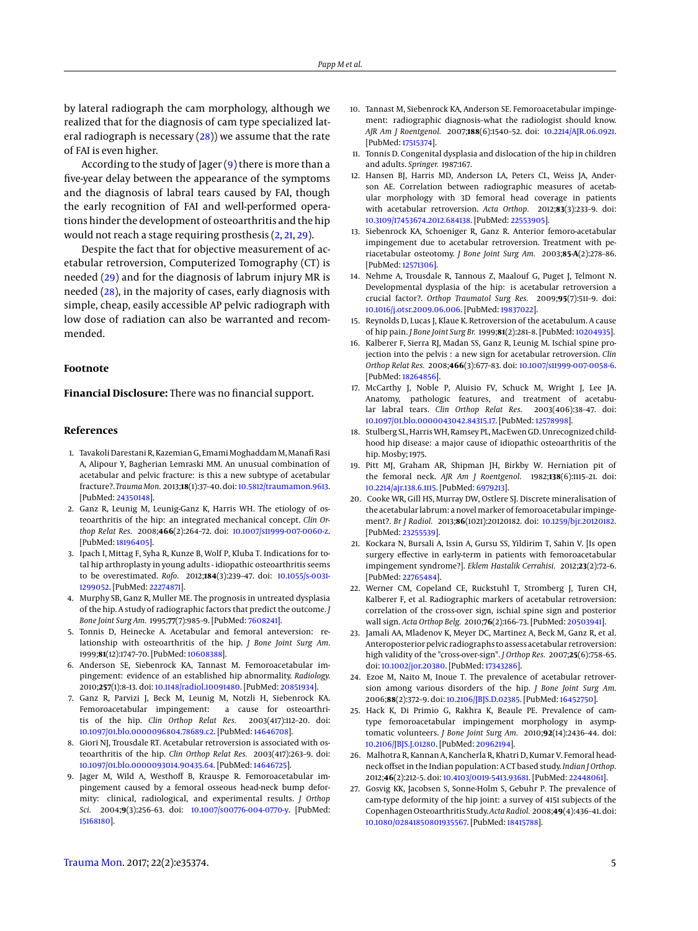by lateral radiograph the cam morphology, although we realized that for the diagnosis of cam type specialized lateral radiograph is necessary  $(28)$ ) we assume that the rate of FAI is even higher.

According to the study of Jager  $(9)$  there is more than a five-year delay between the appearance of the symptoms and the diagnosis of labral tears caused by FAI, though the early recognition of FAI and well-performed operations hinder the development of osteoarthritis and the hip would not reach a stage requiring prosthesis [\(2,](#page-4-1) [21,](#page-4-18) [29\)](#page-5-1).

Despite the fact that for objective measurement of acetabular retroversion, Computerized Tomography (CT) is needed [\(29\)](#page-5-1) and for the diagnosis of labrum injury MR is needed [\(28\)](#page-5-0), in the majority of cases, early diagnosis with simple, cheap, easily accessible AP pelvic radiograph with low dose of radiation can also be warranted and recommended.

#### **Footnote**

**Financial Disclosure:** There was no financial support.

## **References**

- <span id="page-4-0"></span>1. Tavakoli Darestani R, Kazemian G, Emami Moghaddam M, Manafi Rasi A, Alipour Y, Bagherian Lemraski MM. An unusual combination of acetabular and pelvic fracture: is this a new subtype of acetabular fracture?. *Trauma Mon.* 2013;**18**(1):37–40. doi: [10.5812/traumamon.9613.](http://dx.doi.org/10.5812/traumamon.9613) [PubMed: [24350148\]](http://www.ncbi.nlm.nih.gov/pubmed/24350148).
- <span id="page-4-1"></span>2. Ganz R, Leunig M, Leunig-Ganz K, Harris WH. The etiology of osteoarthritis of the hip: an integrated mechanical concept. *Clin Orthop Relat Res.* 2008;**466**(2):264–72. doi: [10.1007/s11999-007-0060-z.](http://dx.doi.org/10.1007/s11999-007-0060-z) [PubMed: [18196405\]](http://www.ncbi.nlm.nih.gov/pubmed/18196405).
- <span id="page-4-2"></span>3. Ipach I, Mittag F, Syha R, Kunze B, Wolf P, Kluba T. Indications for total hip arthroplasty in young adults - idiopathic osteoarthritis seems to be overestimated. *Rofo.* 2012;**184**(3):239–47. doi: [10.1055/s-0031-](http://dx.doi.org/10.1055/s-0031-1299052) [1299052.](http://dx.doi.org/10.1055/s-0031-1299052) [PubMed: [22274871\]](http://www.ncbi.nlm.nih.gov/pubmed/22274871).
- <span id="page-4-3"></span>4. Murphy SB, Ganz R, Muller ME. The prognosis in untreated dysplasia of the hip. A study of radiographic factors that predict the outcome. *J Bone Joint Surg Am.* 1995;**77**(7):985–9. [PubMed: [7608241\]](http://www.ncbi.nlm.nih.gov/pubmed/7608241).
- <span id="page-4-4"></span>5. Tonnis D, Heinecke A. Acetabular and femoral anteversion: relationship with osteoarthritis of the hip. *J Bone Joint Surg Am.* 1999;**81**(12):1747–70. [PubMed: [10608388\]](http://www.ncbi.nlm.nih.gov/pubmed/10608388).
- <span id="page-4-26"></span>6. Anderson SE, Siebenrock KA, Tannast M. Femoroacetabular impingement: evidence of an established hip abnormality. *Radiology.* 2010;**257**(1):8–13. doi: [10.1148/radiol.10091480.](http://dx.doi.org/10.1148/radiol.10091480) [PubMed: [20851934\]](http://www.ncbi.nlm.nih.gov/pubmed/20851934).
- <span id="page-4-6"></span>7. Ganz R, Parvizi J, Beck M, Leunig M, Notzli H, Siebenrock KA. Femoroacetabular impingement: a cause for osteoarthritis of the hip. *Clin Orthop Relat Res.* 2003(417):112–20. doi: [10.1097/01.blo.0000096804.78689.c2.](http://dx.doi.org/10.1097/01.blo.0000096804.78689.c2) [PubMed: [14646708\]](http://www.ncbi.nlm.nih.gov/pubmed/14646708).
- <span id="page-4-19"></span>8. Giori NJ, Trousdale RT. Acetabular retroversion is associated with osteoarthritis of the hip. *Clin Orthop Relat Res.* 2003(417):263–9. doi: [10.1097/01.blo.0000093014.90435.64.](http://dx.doi.org/10.1097/01.blo.0000093014.90435.64) [PubMed: [14646725\]](http://www.ncbi.nlm.nih.gov/pubmed/14646725).
- <span id="page-4-5"></span>9. Jager M, Wild A, Westhoff B, Krauspe R. Femoroacetabular impingement caused by a femoral osseous head-neck bump deformity: clinical, radiological, and experimental results. *J Orthop Sci.* 2004;**9**(3):256–63. doi: [10.1007/s00776-004-0770-y.](http://dx.doi.org/10.1007/s00776-004-0770-y) [PubMed: [15168180\]](http://www.ncbi.nlm.nih.gov/pubmed/15168180).
- <span id="page-4-7"></span>10. Tannast M, Siebenrock KA, Anderson SE. Femoroacetabular impingement: radiographic diagnosis–what the radiologist should know. *AJR Am J Roentgenol.* 2007;**188**(6):1540–52. doi: [10.2214/AJR.06.0921.](http://dx.doi.org/10.2214/AJR.06.0921) [PubMed: [17515374\]](http://www.ncbi.nlm.nih.gov/pubmed/17515374).
- <span id="page-4-8"></span>11. Tonnis D. Congenital dysplasia and dislocation of the hip in children and adults. *Springer.* 1987:167.
- <span id="page-4-9"></span>12. Hansen BJ, Harris MD, Anderson LA, Peters CL, Weiss JA, Anderson AE. Correlation between radiographic measures of acetabular morphology with 3D femoral head coverage in patients with acetabular retroversion. *Acta Orthop.* 2012;**83**(3):233–9. doi: [10.3109/17453674.2012.684138.](http://dx.doi.org/10.3109/17453674.2012.684138) [PubMed: [22553905\]](http://www.ncbi.nlm.nih.gov/pubmed/22553905).
- <span id="page-4-10"></span>13. Siebenrock KA, Schoeniger R, Ganz R. Anterior femoro-acetabular impingement due to acetabular retroversion. Treatment with periacetabular osteotomy. *J Bone Joint Surg Am.* 2003;**85-A**(2):278–86. [PubMed: [12571306\]](http://www.ncbi.nlm.nih.gov/pubmed/12571306).
- <span id="page-4-11"></span>14. Nehme A, Trousdale R, Tannous Z, Maalouf G, Puget J, Telmont N. Developmental dysplasia of the hip: is acetabular retroversion a crucial factor?. *Orthop Traumatol Surg Res.* 2009;**95**(7):511–9. doi: [10.1016/j.otsr.2009.06.006.](http://dx.doi.org/10.1016/j.otsr.2009.06.006) [PubMed: [19837022\]](http://www.ncbi.nlm.nih.gov/pubmed/19837022).
- <span id="page-4-12"></span>15. Reynolds D, Lucas J, Klaue K. Retroversion of the acetabulum. A cause of hip pain. *J Bone Joint Surg Br.* 1999;**81**(2):281–8. [PubMed: [10204935\]](http://www.ncbi.nlm.nih.gov/pubmed/10204935).
- <span id="page-4-13"></span>16. Kalberer F, Sierra RJ, Madan SS, Ganz R, Leunig M. Ischial spine projection into the pelvis : a new sign for acetabular retroversion. *Clin Orthop Relat Res.* 2008;**466**(3):677–83. doi: [10.1007/s11999-007-0058-6.](http://dx.doi.org/10.1007/s11999-007-0058-6) [PubMed: [18264856\]](http://www.ncbi.nlm.nih.gov/pubmed/18264856).
- <span id="page-4-14"></span>17. McCarthy J, Noble P, Aluisio FV, Schuck M, Wright J, Lee JA. Anatomy, pathologic features, and treatment of acetabular labral tears. *Clin Orthop Relat Res.* 2003(406):38–47. doi: [10.1097/01.blo.0000043042.84315.17.](http://dx.doi.org/10.1097/01.blo.0000043042.84315.17) [PubMed: [12578998\]](http://www.ncbi.nlm.nih.gov/pubmed/12578998).
- <span id="page-4-15"></span>18. Stulberg SL, Harris WH, Ramsey PL, MacEwen GD. Unrecognized childhood hip disease: a major cause of idiopathic osteoarthritis of the hip. Mosby; 1975.
- <span id="page-4-16"></span>19. Pitt MJ, Graham AR, Shipman JH, Birkby W. Herniation pit of the femoral neck. *AJR Am J Roentgenol.* 1982;**138**(6):1115–21. doi: [10.2214/ajr.138.6.1115.](http://dx.doi.org/10.2214/ajr.138.6.1115) [PubMed: [6979213\]](http://www.ncbi.nlm.nih.gov/pubmed/6979213).
- <span id="page-4-17"></span>20. Cooke WR, Gill HS, Murray DW, Ostlere SJ. Discrete mineralisation of the acetabular labrum: a novelmarker of femoroacetabular impingement?. *Br J Radiol.* 2013;**86**(1021):20120182. doi: [10.1259/bjr.20120182.](http://dx.doi.org/10.1259/bjr.20120182) [PubMed: [23255539\]](http://www.ncbi.nlm.nih.gov/pubmed/23255539).
- <span id="page-4-18"></span>21. Kockara N, Bursali A, Issin A, Gursu SS, Yildirim T, Sahin V. [Is open surgery effective in early-term in patients with femoroacetabular impingement syndrome?]. *Eklem Hastalik Cerrahisi.* 2012;**23**(2):72–6. [PubMed: [22765484\]](http://www.ncbi.nlm.nih.gov/pubmed/22765484).
- <span id="page-4-20"></span>22. Werner CM, Copeland CE, Ruckstuhl T, Stromberg J, Turen CH, Kalberer F, et al. Radiographic markers of acetabular retroversion: correlation of the cross-over sign, ischial spine sign and posterior wall sign. *Acta Orthop Belg.* 2010;**76**(2):166–73. [PubMed: [20503941\]](http://www.ncbi.nlm.nih.gov/pubmed/20503941).
- <span id="page-4-21"></span>23. Jamali AA, Mladenov K, Meyer DC, Martinez A, Beck M, Ganz R, et al. Anteroposterior pelvic radiographs to assess acetabular retroversion: high validity of the "cross-over-sign". *J Orthop Res.* 2007;**25**(6):758–65. doi: [10.1002/jor.20380.](http://dx.doi.org/10.1002/jor.20380) [PubMed: [17343286\]](http://www.ncbi.nlm.nih.gov/pubmed/17343286).
- <span id="page-4-22"></span>24. Ezoe M, Naito M, Inoue T. The prevalence of acetabular retroversion among various disorders of the hip. *J Bone Joint Surg Am.* 2006;**88**(2):372–9. doi: [10.2106/JBJS.D.02385.](http://dx.doi.org/10.2106/JBJS.D.02385) [PubMed: [16452750\]](http://www.ncbi.nlm.nih.gov/pubmed/16452750).
- <span id="page-4-23"></span>25. Hack K, Di Primio G, Rakhra K, Beaule PE. Prevalence of camtype femoroacetabular impingement morphology in asymptomatic volunteers. *J Bone Joint Surg Am.* 2010;**92**(14):2436–44. doi: [10.2106/JBJS.J.01280.](http://dx.doi.org/10.2106/JBJS.J.01280) [PubMed: [20962194\]](http://www.ncbi.nlm.nih.gov/pubmed/20962194).
- <span id="page-4-24"></span>26. Malhotra R, Kannan A, Kancherla R, Khatri D, Kumar V. Femoral headneck offset in the Indian population: A CT based study. *Indian J Orthop.* 2012;**46**(2):212–5. doi: [10.4103/0019-5413.93681.](http://dx.doi.org/10.4103/0019-5413.93681) [PubMed: [22448061\]](http://www.ncbi.nlm.nih.gov/pubmed/22448061).
- <span id="page-4-25"></span>27. Gosvig KK, Jacobsen S, Sonne-Holm S, Gebuhr P. The prevalence of cam-type deformity of the hip joint: a survey of 4151 subjects of the Copenhagen Osteoarthritis Study.*Acta Radiol.* 2008;**49**(4):436–41. doi: [10.1080/02841850801935567.](http://dx.doi.org/10.1080/02841850801935567) [PubMed: [18415788\]](http://www.ncbi.nlm.nih.gov/pubmed/18415788).